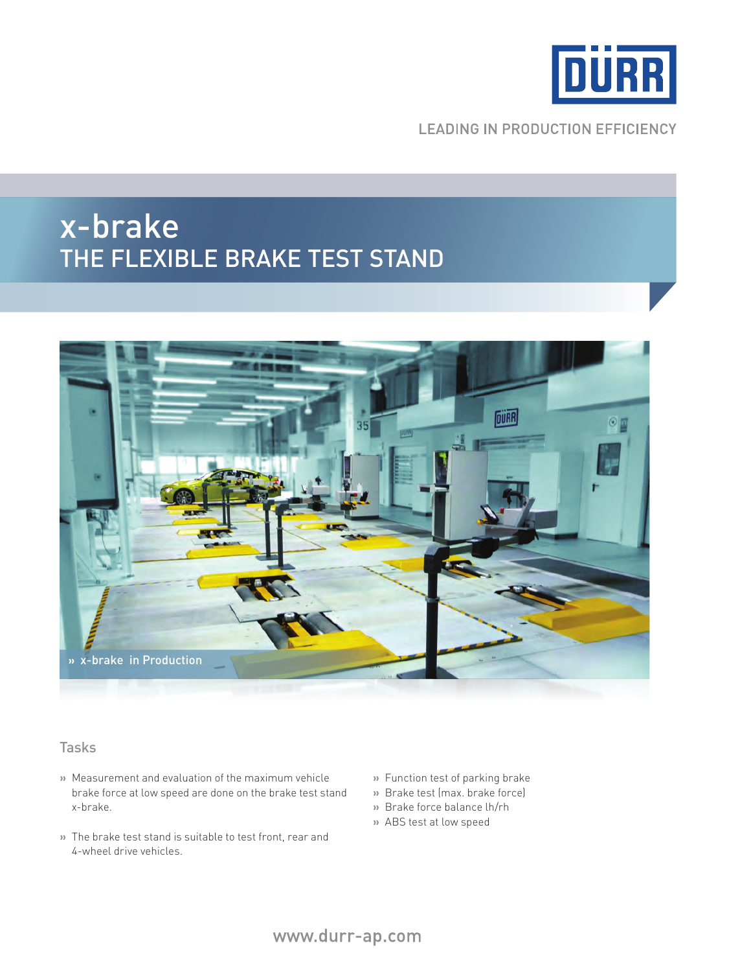

**LEADING IN PRODUCTION EFFICIENCY** 

## x-brake The flexible Brake test stand



### Tasks

- **»** Measurement and evaluation of the maximum vehicle brake force at low speed are done on the brake test stand x-brake.
- **»** The brake test stand is suitable to test front, rear and 4-wheel drive vehicles.
- **»** Function test of parking brake
- **»** Brake test (max. brake force)
- **»** Brake force balance lh/rh
- **»** ABS test at low speed